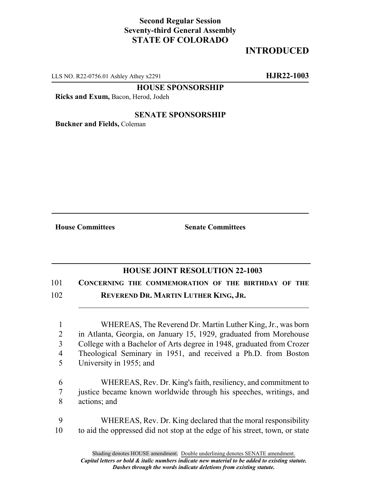## **Second Regular Session Seventy-third General Assembly STATE OF COLORADO**

## **INTRODUCED**

LLS NO. R22-0756.01 Ashley Athey x2291 **HJR22-1003**

**HOUSE SPONSORSHIP**

**Ricks and Exum,** Bacon, Herod, Jodeh

## **SENATE SPONSORSHIP**

**Buckner and Fields,** Coleman

**House Committees Senate Committees**

## **HOUSE JOINT RESOLUTION 22-1003**

101 **CONCERNING THE COMMEMORATION OF THE BIRTHDAY OF THE** 102 **REVEREND DR. MARTIN LUTHER KING, JR.**

 WHEREAS, The Reverend Dr. Martin Luther King, Jr., was born in Atlanta, Georgia, on January 15, 1929, graduated from Morehouse College with a Bachelor of Arts degree in 1948, graduated from Crozer Theological Seminary in 1951, and received a Ph.D. from Boston University in 1955; and

6 WHEREAS, Rev. Dr. King's faith, resiliency, and commitment to 7 justice became known worldwide through his speeches, writings, and 8 actions; and

9 WHEREAS, Rev. Dr. King declared that the moral responsibility 10 to aid the oppressed did not stop at the edge of his street, town, or state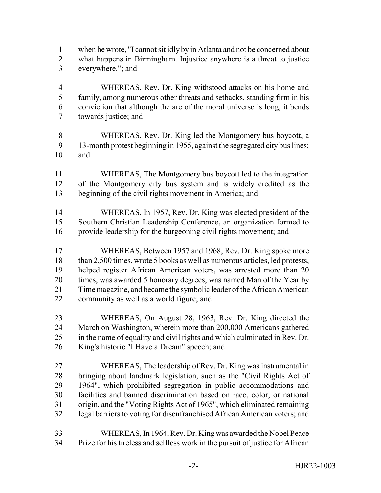- when he wrote, "I cannot sit idly by in Atlanta and not be concerned about what happens in Birmingham. Injustice anywhere is a threat to justice everywhere."; and
- WHEREAS, Rev. Dr. King withstood attacks on his home and family, among numerous other threats and setbacks, standing firm in his conviction that although the arc of the moral universe is long, it bends towards justice; and
- WHEREAS, Rev. Dr. King led the Montgomery bus boycott, a 13-month protest beginning in 1955, against the segregated city bus lines; and
- WHEREAS, The Montgomery bus boycott led to the integration of the Montgomery city bus system and is widely credited as the beginning of the civil rights movement in America; and
- WHEREAS, In 1957, Rev. Dr. King was elected president of the Southern Christian Leadership Conference, an organization formed to provide leadership for the burgeoning civil rights movement; and
- WHEREAS, Between 1957 and 1968, Rev. Dr. King spoke more 18 than 2,500 times, wrote 5 books as well as numerous articles, led protests, helped register African American voters, was arrested more than 20 times, was awarded 5 honorary degrees, was named Man of the Year by Time magazine, and became the symbolic leader of the African American community as well as a world figure; and
- WHEREAS, On August 28, 1963, Rev. Dr. King directed the March on Washington, wherein more than 200,000 Americans gathered in the name of equality and civil rights and which culminated in Rev. Dr. King's historic "I Have a Dream" speech; and
- WHEREAS, The leadership of Rev. Dr. King was instrumental in bringing about landmark legislation, such as the "Civil Rights Act of 1964", which prohibited segregation in public accommodations and facilities and banned discrimination based on race, color, or national origin, and the "Voting Rights Act of 1965", which eliminated remaining legal barriers to voting for disenfranchised African American voters; and
- WHEREAS, In 1964, Rev. Dr. King was awarded the Nobel Peace Prize for his tireless and selfless work in the pursuit of justice for African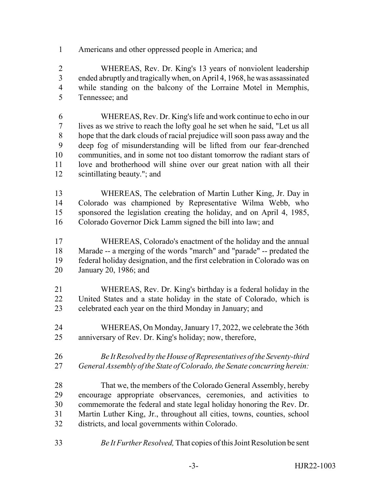Americans and other oppressed people in America; and

 WHEREAS, Rev. Dr. King's 13 years of nonviolent leadership ended abruptly and tragically when, on April 4, 1968, he was assassinated while standing on the balcony of the Lorraine Motel in Memphis, Tennessee; and

 WHEREAS, Rev. Dr. King's life and work continue to echo in our lives as we strive to reach the lofty goal he set when he said, "Let us all hope that the dark clouds of racial prejudice will soon pass away and the deep fog of misunderstanding will be lifted from our fear-drenched communities, and in some not too distant tomorrow the radiant stars of love and brotherhood will shine over our great nation with all their scintillating beauty."; and

- WHEREAS, The celebration of Martin Luther King, Jr. Day in Colorado was championed by Representative Wilma Webb, who sponsored the legislation creating the holiday, and on April 4, 1985, Colorado Governor Dick Lamm signed the bill into law; and
- WHEREAS, Colorado's enactment of the holiday and the annual Marade -- a merging of the words "march" and "parade" -- predated the federal holiday designation, and the first celebration in Colorado was on January 20, 1986; and
- WHEREAS, Rev. Dr. King's birthday is a federal holiday in the United States and a state holiday in the state of Colorado, which is celebrated each year on the third Monday in January; and
- WHEREAS, On Monday, January 17, 2022, we celebrate the 36th anniversary of Rev. Dr. King's holiday; now, therefore,
- *Be It Resolved by the House of Representatives of the Seventy-third General Assembly of the State of Colorado, the Senate concurring herein:*
- That we, the members of the Colorado General Assembly, hereby encourage appropriate observances, ceremonies, and activities to commemorate the federal and state legal holiday honoring the Rev. Dr. Martin Luther King, Jr., throughout all cities, towns, counties, school districts, and local governments within Colorado.
- *Be It Further Resolved,* That copies of this Joint Resolution be sent